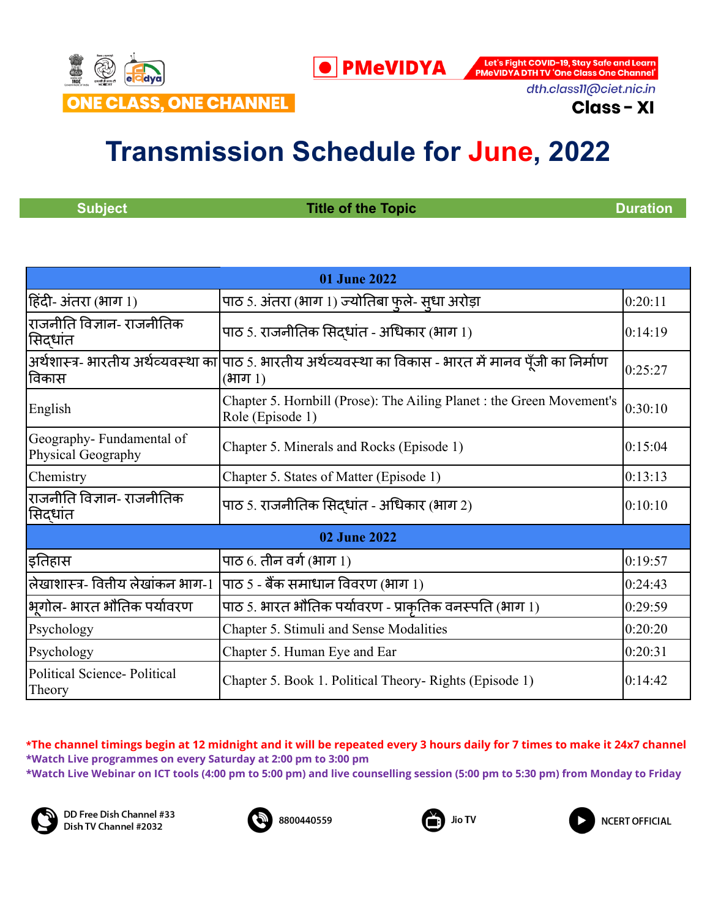

**O** PMeVIDYA

Let's Fight COVID-19, Stay Safe and Learn<br>PMeVIDYA DTH TV 'One Class One Channel'

dth.class11@ciet.nic.in

**Class - XI** 

# **Transmission Schedule for June, 2022**

**Subject Construction <b>Title of the Topic Construction Duration** 

| 01 June 2022                                   |                                                                                                                     |         |
|------------------------------------------------|---------------------------------------------------------------------------------------------------------------------|---------|
| हिंदी- अंतरा (भाग 1)                           | पाठ 5. अंतरा (भाग 1) ज्योतिबा फुले- सूधा अरोड़ा                                                                     | 0:20:11 |
| राजनीति विज्ञान- राजनीतिक<br>सिदधांत           | पाठ 5. राजनीतिक सिदधांत - अधिकार (भाग 1)                                                                            | 0:14:19 |
| विकास                                          | अर्थशास्त्र- भारतीय अर्थव्यवस्था का पाठ 5. भारतीय अर्थव्यवस्था का विकास - भारत में मानव पूँजी का निर्माण<br>(भाग 1) | 0:25:27 |
| English                                        | Chapter 5. Hornbill (Prose): The Ailing Planet : the Green Movement's<br>Role (Episode 1)                           | 0:30:10 |
| Geography-Fundamental of<br>Physical Geography | Chapter 5. Minerals and Rocks (Episode 1)                                                                           | 0:15:04 |
| Chemistry                                      | Chapter 5. States of Matter (Episode 1)                                                                             | 0:13:13 |
| राजनीति विज्ञान- राजनीतिक<br>सिदधांत           | पाठ 5. राजनीतिक सिदधांत - अधिकार (भाग 2)                                                                            | 0:10:10 |
|                                                | 02 June 2022                                                                                                        |         |
| इतिहास                                         | पाठ 6. तीन वर्ग (भाग 1)                                                                                             | 0:19:57 |
| लेखाशास्त्र- वितीय लेखांकन भाग-1               | पाठ 5 - बैंक समाधान विवरण (भाग 1)                                                                                   | 0:24:43 |
| भगोल- भारत भौतिक पर्यावरण                      | पाठ 5. भारत भौतिक पर्यावरण - प्राकृतिक वनस्पति (भाग 1)                                                              | 0:29:59 |
| Psychology                                     | Chapter 5. Stimuli and Sense Modalities                                                                             | 0:20:20 |
| Psychology                                     | Chapter 5. Human Eye and Ear                                                                                        | 0:20:31 |
| <b>Political Science-Political</b><br>Theory   | Chapter 5. Book 1. Political Theory- Rights (Episode 1)                                                             | 0:14:42 |

\*The channel timings begin at 12 midnight and it will be repeated every 3 hours daily for 7 times to make it 24x7 channel **\*Watch Live programmes on every Saturday at 2:00 pm to 3:00 pm \*Watch Live Webinar on ICT tools (4:00 pm to 5:00 pm) and live counselling session (5:00 pm to 5:30 pm) from Monday to Friday**







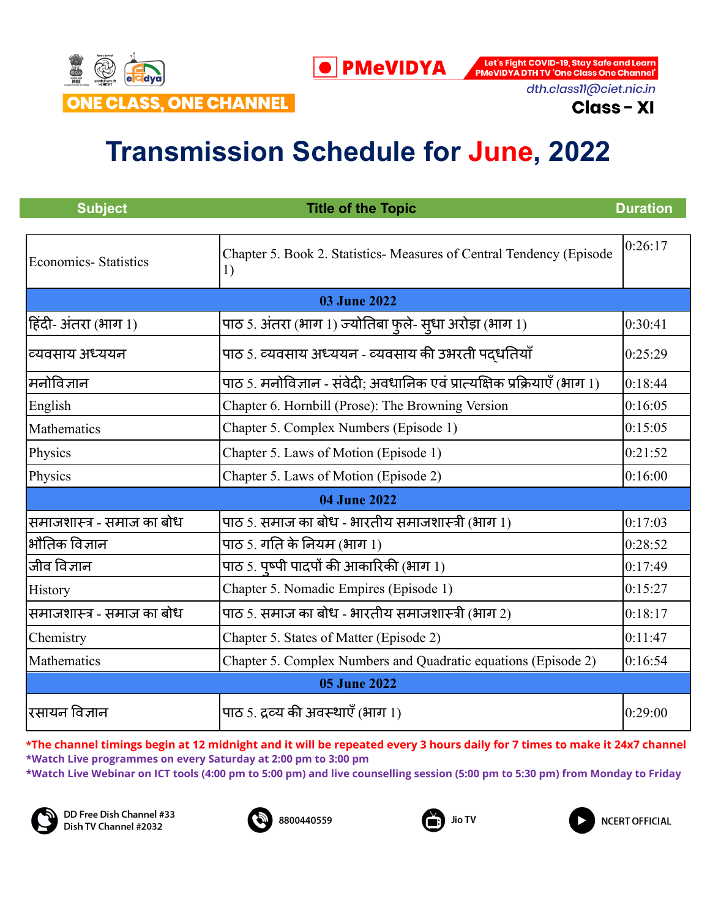

dth.class11@ciet.nic.in

**Class - XI** 

## **Transmission Schedule for June, 2022**

| <b>Subject</b>              | <b>Title of the Topic</b>                                                  | <b>Duration</b> |
|-----------------------------|----------------------------------------------------------------------------|-----------------|
| <b>Economics-Statistics</b> | Chapter 5. Book 2. Statistics- Measures of Central Tendency (Episode<br>1) | 0:26:17         |
|                             | <b>03 June 2022</b>                                                        |                 |
| हिंदी- अंतरा (भाग 1)        | पाठ 5. अंतरा (भाग 1) ज्योतिबा फुले- सुधा अरोड़ा (भाग 1)                    | 0:30:41         |
| व्यवसाय अध्ययन              | पाठ 5. व्यवसाय अध्ययन - व्यवसाय की उभरती पद्धतियाँ                         | 0:25:29         |
| मनोविज्ञान                  | पाठ 5. मनोविज्ञान - संवेदी; अवधानिक एवं प्रात्यक्षिक प्रक्रियाएँ (भाग 1)   | 0:18:44         |
| English                     | Chapter 6. Hornbill (Prose): The Browning Version                          | 0:16:05         |
| Mathematics                 | Chapter 5. Complex Numbers (Episode 1)                                     | 0:15:05         |
| Physics                     | Chapter 5. Laws of Motion (Episode 1)                                      | 0:21:52         |
| Physics                     | Chapter 5. Laws of Motion (Episode 2)                                      | 0:16:00         |
|                             | 04 June 2022                                                               |                 |
| समाजशास्त्र - समाज का बोध   | पाठ 5. समाज का बोध - भारतीय समाजशास्त्री (भाग 1)                           | 0:17:03         |
| भौतिक विज्ञान               | पाठ 5. गति के नियम (भाग 1)                                                 | 0:28:52         |
| जीव विज्ञान                 | पाठ 5. पृष्पी पादपों की आकारिकी (भाग 1)                                    | 0:17:49         |
| History                     | Chapter 5. Nomadic Empires (Episode 1)                                     | 0:15:27         |
| समाजशास्त्र - समाज का बोध   | पाठ 5. समाज का बोध - भारतीय समाजशास्त्री (भाग 2)                           | 0:18:17         |
| Chemistry                   | Chapter 5. States of Matter (Episode 2)                                    | 0:11:47         |
| Mathematics                 | Chapter 5. Complex Numbers and Quadratic equations (Episode 2)             | 0:16:54         |
| <b>05 June 2022</b>         |                                                                            |                 |
| रसायन विज्ञान               | पाठ 5. द्रव्य की अवस्थाएँ (भाग 1)                                          | 0:29:00         |

\*The channel timings begin at 12 midnight and it will be repeated every 3 hours daily for 7 times to make it 24x7 channel **\*Watch Live programmes on every Saturday at 2:00 pm to 3:00 pm**

**\*Watch Live Webinar on ICT tools (4:00 pm to 5:00 pm) and live counselling session (5:00 pm to 5:30 pm) from Monday to Friday**







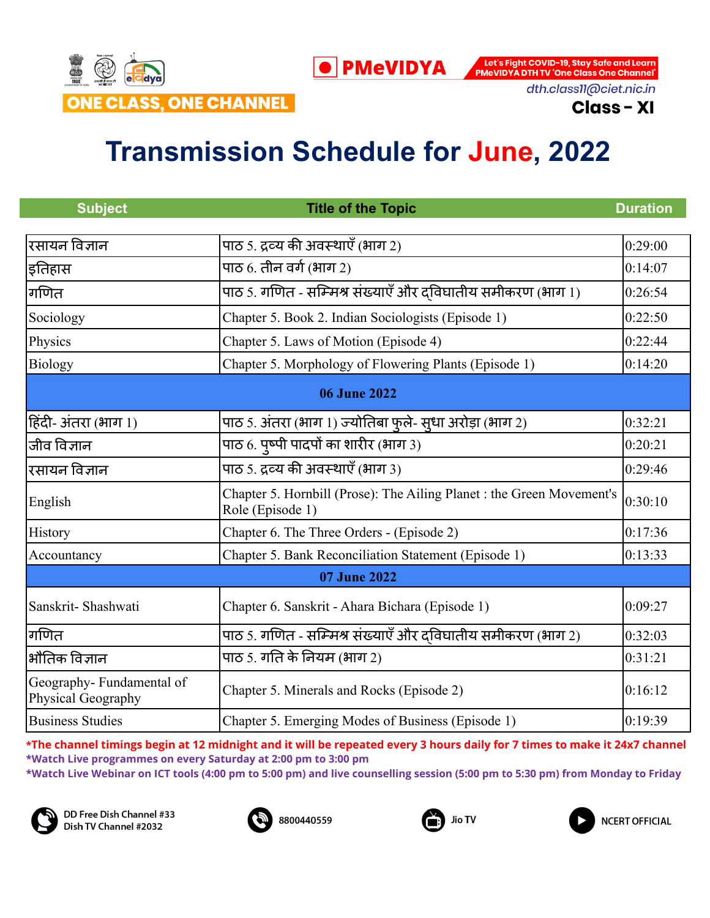

dth.class11@ciet.nic.in

**Class - XI** 

## **Transmission Schedule for June, 2022**

| <b>Subject</b>                                 | <b>Title of the Topic</b>                                                                 | <b>Duration</b> |
|------------------------------------------------|-------------------------------------------------------------------------------------------|-----------------|
|                                                |                                                                                           |                 |
| रसायन विज्ञान                                  | पाठ 5. द्रव्य की अवस्थाएँ (भाग 2)                                                         | 0:29:00         |
| इतिहास                                         | पाठ $6.$ तीन वर्ग (भाग 2)                                                                 | 0:14:07         |
| गणित                                           | पाठ 5. गणित - सम्मिश्र संख्याएँ और दविघातीय समीकरण (भाग 1)                                | 0:26:54         |
| Sociology                                      | Chapter 5. Book 2. Indian Sociologists (Episode 1)                                        | 0:22:50         |
| Physics                                        | Chapter 5. Laws of Motion (Episode 4)                                                     | 0:22:44         |
| Biology                                        | Chapter 5. Morphology of Flowering Plants (Episode 1)                                     | 0:14:20         |
|                                                | <b>06 June 2022</b>                                                                       |                 |
| हिंदी- अंतरा (भाग 1)                           | पाठ 5. अंतरा (भाग 1) ज्योतिबा फुले- सूधा अरोड़ा (भाग 2)                                   | 0:32:21         |
| जीव विज्ञान                                    | पाठ 6. पृष्पी पादपों का शारीर (भाग 3)                                                     | 0:20:21         |
| रसायन विज्ञान                                  | पाठ 5. द्रव्य की अवस्थाएँ (भाग 3)                                                         | 0:29:46         |
| English                                        | Chapter 5. Hornbill (Prose): The Ailing Planet : the Green Movement's<br>Role (Episode 1) | 0:30:10         |
| History                                        | Chapter 6. The Three Orders - (Episode 2)                                                 | 0:17:36         |
| Accountancy                                    | Chapter 5. Bank Reconciliation Statement (Episode 1)                                      | 0:13:33         |
|                                                | 07 June 2022                                                                              |                 |
| Sanskrit-Shashwati                             | Chapter 6. Sanskrit - Ahara Bichara (Episode 1)                                           | 0:09:27         |
| गणित                                           | पाठ 5. गणित - सम्मिश्र संख्याएँ और दविघातीय समीकरण (भाग 2)                                | 0:32:03         |
| भौतिक विज्ञान                                  | पाठ 5. गति के नियम (भाग 2)                                                                | 0:31:21         |
| Geography-Fundamental of<br>Physical Geography | Chapter 5. Minerals and Rocks (Episode 2)                                                 | 0:16:12         |
| <b>Business Studies</b>                        | Chapter 5. Emerging Modes of Business (Episode 1)                                         | 0:19:39         |

\*The channel timings begin at 12 midnight and it will be repeated every 3 hours daily for 7 times to make it 24x7 channel **\*Watch Live programmes on every Saturday at 2:00 pm to 3:00 pm**

**\*Watch Live Webinar on ICT tools (4:00 pm to 5:00 pm) and live counselling session (5:00 pm to 5:30 pm) from Monday to Friday**







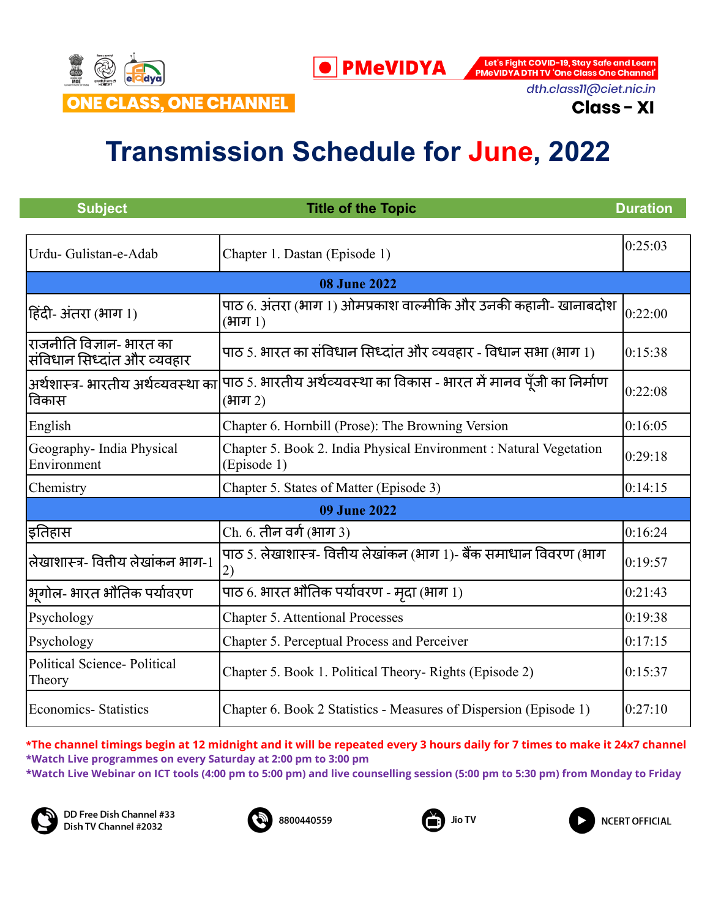

dth.class11@ciet.nic.in

**Class - XI** 

# **Transmission Schedule for June, 2022**

**O** PMeVIDYA

| <b>Subject</b>                                          | <b>Title of the Topic</b>                                                                                           | <b>Duration</b> |
|---------------------------------------------------------|---------------------------------------------------------------------------------------------------------------------|-----------------|
|                                                         |                                                                                                                     |                 |
| Urdu- Gulistan-e-Adab                                   | Chapter 1. Dastan (Episode 1)                                                                                       | 0:25:03         |
|                                                         | <b>08 June 2022</b>                                                                                                 |                 |
| हिंदी- अंतरा (भाग 1)                                    | पाठ 6. अंतरा (भाग 1) ओमप्रकाश वाल्मीकि और उनकी कहानी- खानाबदोश<br>$(3\pi)$                                          | 0:22:00         |
| राजनीति विज्ञान- भारत का<br>संविधान सिध्दांत और व्यवहार | पाठ 5. भारत का संविधान सिध्दांत और व्यवहार - विधान सभा (भाग 1)                                                      | 0:15:38         |
| विकास                                                   | अर्थशास्त्र- भारतीय अर्थव्यवस्था का पाठ 5. भारतीय अर्थव्यवस्था का विकास - भारत में मानव पूँजी का निर्माण<br>(भाग 2) | 0:22:08         |
| English                                                 | Chapter 6. Hornbill (Prose): The Browning Version                                                                   | 0:16:05         |
| Geography- India Physical<br>Environment                | Chapter 5. Book 2. India Physical Environment : Natural Vegetation<br>(Episode 1)                                   | 0:29:18         |
| Chemistry                                               | Chapter 5. States of Matter (Episode 3)                                                                             | 0:14:15         |
|                                                         | <b>09 June 2022</b>                                                                                                 |                 |
| इतिहास                                                  | Ch. 6. तीन वर्ग (भाग 3)                                                                                             | 0:16:24         |
| लेखाशास्त्र- वितीय लेखांकन भाग-1                        | पाठ 5. लेखाशास्त्र- वितीय लेखांकन (भाग 1)- बैंक समाधान विवरण (भाग<br>2)                                             | 0:19:57         |
| भगोल- भारत भौतिक पर्यावरण                               | पाठ 6. भारत भौतिक पर्यावरण - मृदा (भाग 1)                                                                           | 0:21:43         |
| Psychology                                              | <b>Chapter 5. Attentional Processes</b>                                                                             | 0:19:38         |
| Psychology                                              | Chapter 5. Perceptual Process and Perceiver                                                                         | 0:17:15         |
| <b>Political Science- Political</b><br>Theory           | Chapter 5. Book 1. Political Theory- Rights (Episode 2)                                                             | 0:15:37         |
| <b>Economics-Statistics</b>                             | Chapter 6. Book 2 Statistics - Measures of Dispersion (Episode 1)                                                   | 0:27:10         |

\*The channel timings begin at 12 midnight and it will be repeated every 3 hours daily for 7 times to make it 24x7 channel **\*Watch Live programmes on every Saturday at 2:00 pm to 3:00 pm \*Watch Live Webinar on ICT tools (4:00 pm to 5:00 pm) and live counselling session (5:00 pm to 5:30 pm) from Monday to Friday**







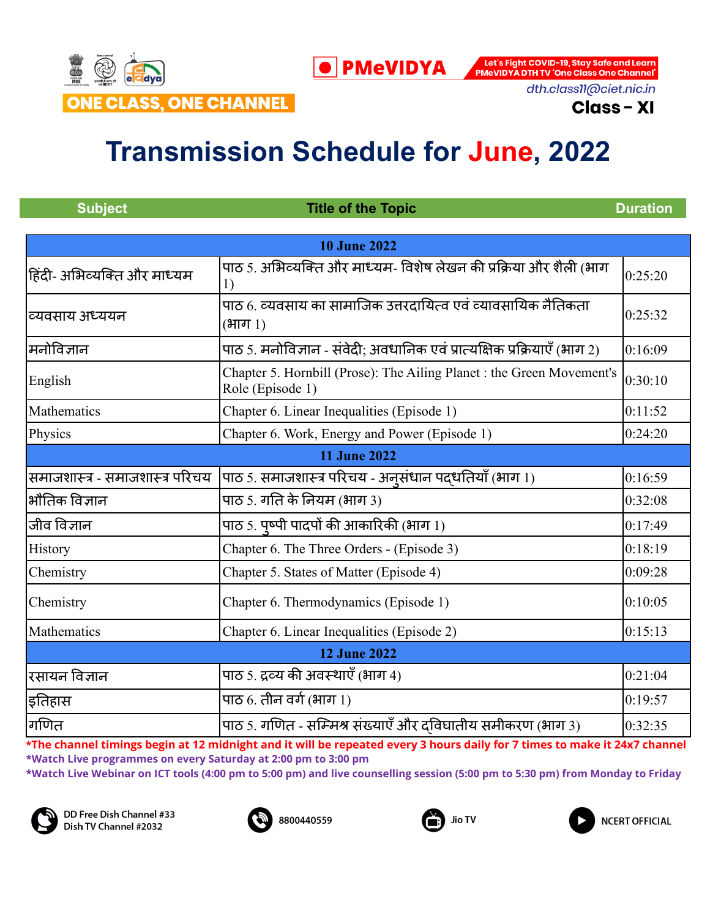

dth.class11@ciet.nic.in

**Class - XI** 

## **Transmission Schedule for June, 2022**

**O** PMeVIDYA

|                                                                                           | <b>Duration</b>           |  |
|-------------------------------------------------------------------------------------------|---------------------------|--|
|                                                                                           |                           |  |
| <b>10 June 2022</b>                                                                       |                           |  |
| पाठ 5. अभिव्यक्ति और माध्यम- विशेष लेखन की प्रक्रिया और शैली (भाग<br>1)                   | 0:25:20                   |  |
| पाठ 6. व्यवसाय का सामाजिक उत्तरदायित्व एवं व्यावसायिक नैतिकता<br>$(3\pi)$ 1)              | 0:25:32                   |  |
| पाठ 5. मनोविज्ञान - संवेदी: अवधानिक एवं प्रात्यक्षिक प्रक्रियाएँ (भाग 2)                  | 0:16:09                   |  |
| Chapter 5. Hornbill (Prose): The Ailing Planet : the Green Movement's<br>Role (Episode 1) | 0:30:10                   |  |
| Chapter 6. Linear Inequalities (Episode 1)                                                | 0:11:52                   |  |
| Chapter 6. Work, Energy and Power (Episode 1)                                             | 0:24:20                   |  |
| <b>11 June 2022</b>                                                                       |                           |  |
| पाठ 5. समाजशास्त्र परिचय - अनुसंधान पदधतियाँ (भाग 1)                                      | 0:16:59                   |  |
| पाठ 5. गति के नियम (भाग 3)                                                                | 0:32:08                   |  |
| पाठ 5. पृष्पी पादपों की आकारिकी (भाग 1)                                                   | 0:17:49                   |  |
| Chapter 6. The Three Orders - (Episode 3)                                                 | 0:18:19                   |  |
| Chapter 5. States of Matter (Episode 4)                                                   | 0:09:28                   |  |
| Chapter 6. Thermodynamics (Episode 1)                                                     | 0:10:05                   |  |
| Chapter 6. Linear Inequalities (Episode 2)                                                | 0:15:13                   |  |
| <b>12 June 2022</b>                                                                       |                           |  |
| पाठ 5. द्रव्य की अवस्थाएँ (भाग 4)                                                         | 0:21:04                   |  |
| पाठ $6.$ तीन वर्ग (भाग 1)                                                                 | 0:19:57                   |  |
| पाठ 5. गणित - सम्मिश्र संख्याएँ और दविघातीय समीकरण (भाग 3)                                | 0:32:35                   |  |
|                                                                                           | <b>Title of the Topic</b> |  |

\*The channel timings begin at 12 midnight and it will be repeated every 3 hours daily for 7 times to make it 24x7 channel **\*Watch Live programmes on every Saturday at 2:00 pm to 3:00 pm**

**\*Watch Live Webinar on ICT tools (4:00 pm to 5:00 pm) and live counselling session (5:00 pm to 5:30 pm) from Monday to Friday**







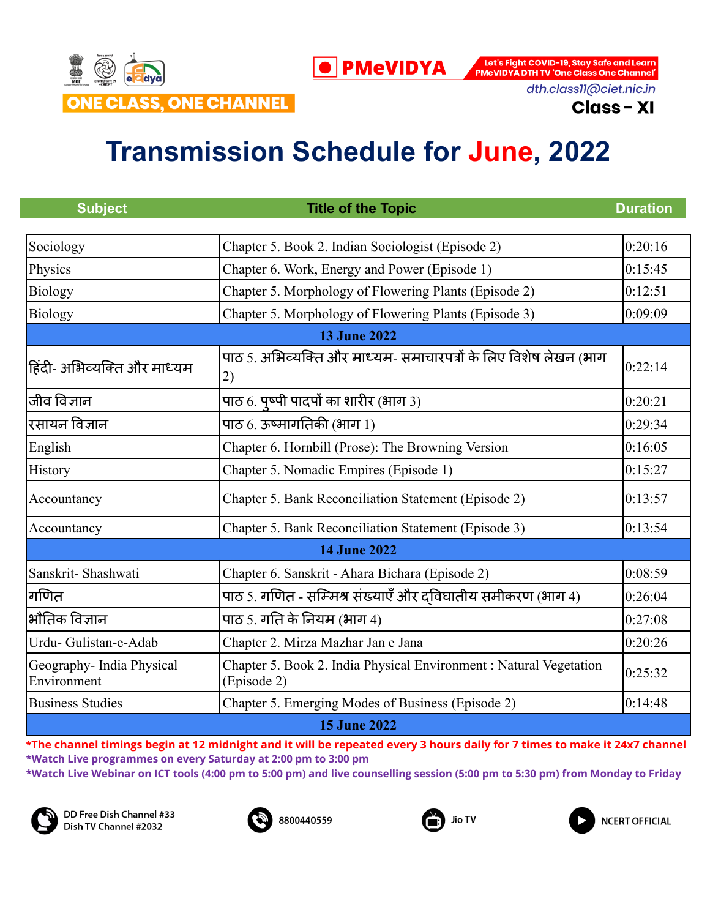

dth.class11@ciet.nic.in **Class - XI** 

# **Transmission Schedule for June, 2022**

| <b>Subject</b>                           | <b>Title of the Topic</b>                                                         | <b>Duration</b> |  |
|------------------------------------------|-----------------------------------------------------------------------------------|-----------------|--|
| Sociology                                | Chapter 5. Book 2. Indian Sociologist (Episode 2)                                 | 0:20:16         |  |
| Physics                                  | Chapter 6. Work, Energy and Power (Episode 1)                                     | 0:15:45         |  |
| Biology                                  | Chapter 5. Morphology of Flowering Plants (Episode 2)                             | 0:12:51         |  |
| <b>Biology</b>                           | Chapter 5. Morphology of Flowering Plants (Episode 3)                             | 0:09:09         |  |
|                                          | <b>13 June 2022</b>                                                               |                 |  |
| हिंदी- अभिव्यक्ति और माध्यम              | पाठ 5. अभिव्यक्ति और माध्यम- समाचारपत्रों के लिए विशेष लेखन (भाग<br>2)            | 0:22:14         |  |
| जीव विज्ञान                              | पाठ 6. पृष्पी पादपों का शारीर (भाग 3)                                             | 0:20:21         |  |
| रसायन विज्ञान                            | पाठ $6.3$ ऊष्मागतिकी (भाग $1)$                                                    | 0:29:34         |  |
| English                                  | Chapter 6. Hornbill (Prose): The Browning Version                                 | 0:16:05         |  |
| History                                  | Chapter 5. Nomadic Empires (Episode 1)                                            | 0:15:27         |  |
| Accountancy                              | Chapter 5. Bank Reconciliation Statement (Episode 2)                              | 0:13:57         |  |
| Accountancy                              | Chapter 5. Bank Reconciliation Statement (Episode 3)                              | 0:13:54         |  |
|                                          | <b>14 June 2022</b>                                                               |                 |  |
| Sanskrit-Shashwati                       | Chapter 6. Sanskrit - Ahara Bichara (Episode 2)                                   | 0:08:59         |  |
| गणित                                     | पाठ 5. गणित - सम्मिश्र संख्याएँ और दविघातीय समीकरण (भाग 4)                        | 0:26:04         |  |
| भौतिक विज्ञान                            | पाठ 5. गति के नियम (भाग 4)                                                        | 0:27:08         |  |
| Urdu- Gulistan-e-Adab                    | Chapter 2. Mirza Mazhar Jan e Jana                                                | 0:20:26         |  |
| Geography- India Physical<br>Environment | Chapter 5. Book 2. India Physical Environment : Natural Vegetation<br>(Episode 2) | 0:25:32         |  |
| <b>Business Studies</b>                  | Chapter 5. Emerging Modes of Business (Episode 2)                                 | 0:14:48         |  |
|                                          | <b>15 June 2022</b>                                                               |                 |  |

\*The channel timings begin at 12 midnight and it will be repeated every 3 hours daily for 7 times to make it 24x7 channel **\*Watch Live programmes on every Saturday at 2:00 pm to 3:00 pm**

**\*Watch Live Webinar on ICT tools (4:00 pm to 5:00 pm) and live counselling session (5:00 pm to 5:30 pm) from Monday to Friday**







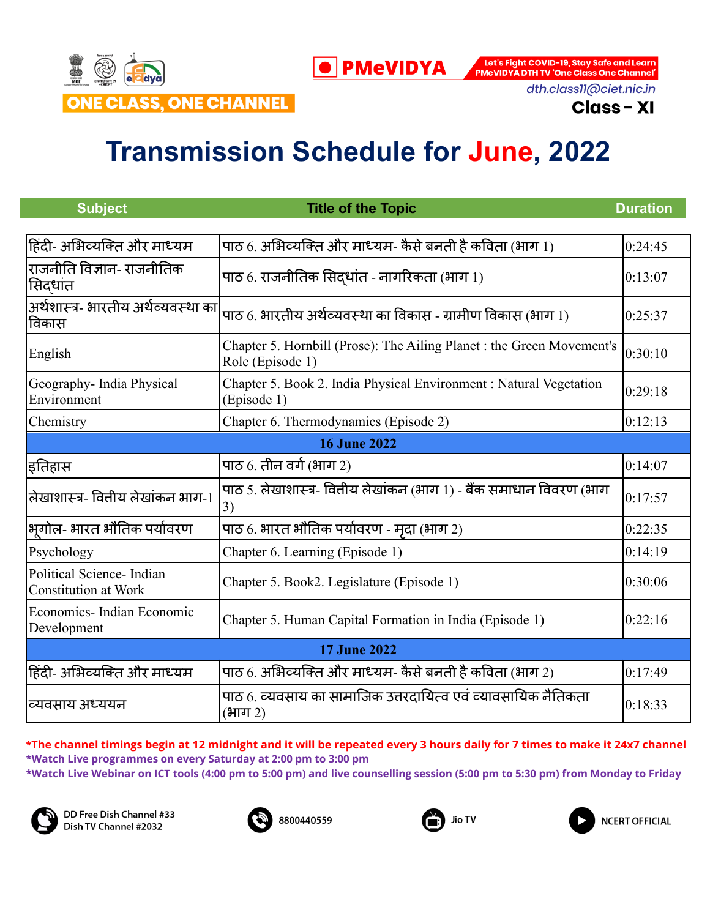

dth.class11@ciet.nic.in

**Class - XI** 

## **Transmission Schedule for June, 2022**

| <b>Subject</b>                                           | <b>Title of the Topic</b>                                                                 | <b>Duration</b> |
|----------------------------------------------------------|-------------------------------------------------------------------------------------------|-----------------|
|                                                          |                                                                                           |                 |
| हिंदी- अभिव्यक्ति और माध्यम                              | पाठ 6. अभिव्यक्ति और माध्यम- कैसे बनती है कविता (भाग 1)                                   | 0:24:45         |
| राजनीति विज्ञान- राजनीतिक<br>सिद्धांत                    | पाठ 6. राजनीतिक सिद्धांत - नागरिकता (भाग 1)                                               | 0:13:07         |
| अर्थशास्त्र- भारतीय अर्थव्यवस्था का<br>विकास             | पाठ 6. भारतीय अर्थव्यवस्था का विकास - ग्रामीण विकास (भाग 1)                               | 0:25:37         |
| English                                                  | Chapter 5. Hornbill (Prose): The Ailing Planet : the Green Movement's<br>Role (Episode 1) | 0:30:10         |
| Geography- India Physical<br>Environment                 | Chapter 5. Book 2. India Physical Environment : Natural Vegetation<br>(Episode 1)         | 0:29:18         |
| Chemistry                                                | Chapter 6. Thermodynamics (Episode 2)                                                     | 0:12:13         |
|                                                          | <b>16 June 2022</b>                                                                       |                 |
| इतिहास                                                   | पाठ $6.$ तीन वर्ग (भाग 2)                                                                 | 0:14:07         |
| लेखाशास्त्र- वितीय लेखांकन भाग-1                         | पाठ 5. लेखाशास्त्र- वित्तीय लेखांकन (भाग 1) - बैंक समाधान विवरण (भाग<br>3)                | 0:17:57         |
| भूगोल- भारत भौतिक पर्यावरण                               | पाठ 6. भारत भौतिक पर्यावरण - मृदा (भाग 2)                                                 | 0:22:35         |
| Psychology                                               | Chapter 6. Learning (Episode 1)                                                           | 0:14:19         |
| Political Science- Indian<br><b>Constitution at Work</b> | Chapter 5. Book2. Legislature (Episode 1)                                                 | 0:30:06         |
| Economics-Indian Economic<br>Development                 | Chapter 5. Human Capital Formation in India (Episode 1)                                   | 0:22:16         |
| <b>17 June 2022</b>                                      |                                                                                           |                 |
| हिंदी- अभिव्यक्ति और माध्यम                              | पाठ 6. अभिव्यक्ति और माध्यम- कैसे बनती है कविता (भाग 2)                                   | 0:17:49         |
| व्यवसाय अध्ययन                                           | पाठ 6. व्यवसाय का सामाजिक उत्तरदायित्व एवं व्यावसायिक नैतिकता<br>(भाग 2)                  | 0:18:33         |

#### \*The channel timings begin at 12 midnight and it will be repeated every 3 hours daily for 7 times to make it 24x7 channel **\*Watch Live programmes on every Saturday at 2:00 pm to 3:00 pm \*Watch Live Webinar on ICT tools (4:00 pm to 5:00 pm) and live counselling session (5:00 pm to 5:30 pm) from Monday to Friday**



DD Free Dish Channel #33 Dish TV Channel #2032





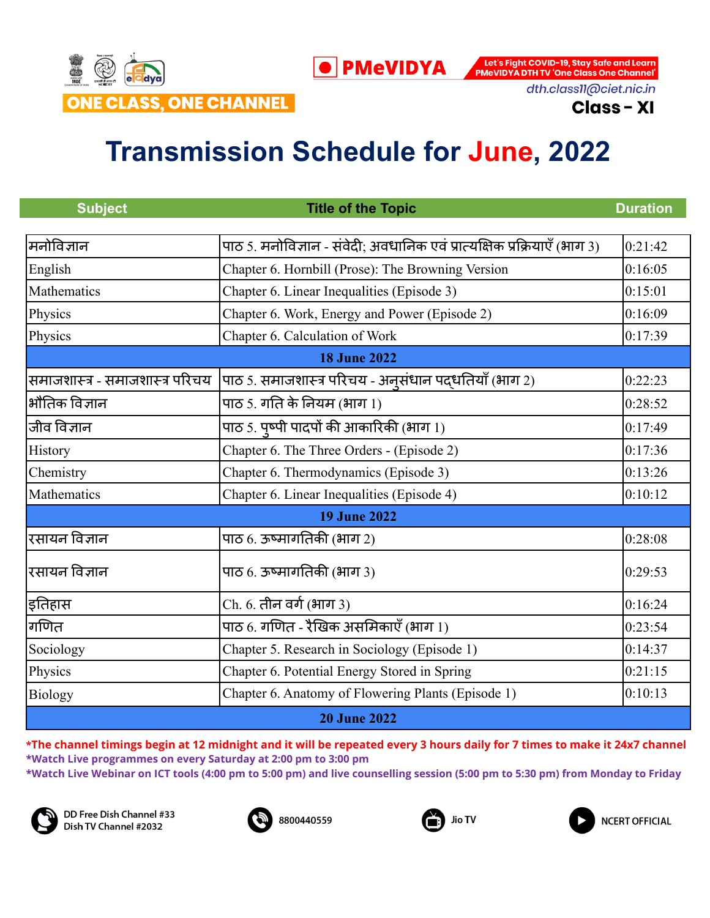

dth.class11@ciet.nic.in

**Class - XI** 

## **Transmission Schedule for June, 2022**

| <b>Subject</b>                  | <b>Title of the Topic</b>                                                | <b>Duration</b> |
|---------------------------------|--------------------------------------------------------------------------|-----------------|
| मिनोविज्ञान                     | पाठ 5. मनोविज्ञान - संवेदी; अवधानिक एवं प्रात्यक्षिक प्रक्रियाएँ (भाग 3) | 0:21:42         |
|                                 |                                                                          |                 |
| English                         | Chapter 6. Hornbill (Prose): The Browning Version                        | 0:16:05         |
| Mathematics                     | Chapter 6. Linear Inequalities (Episode 3)                               | 0:15:01         |
| Physics                         | Chapter 6. Work, Energy and Power (Episode 2)                            | 0:16:09         |
| Physics                         | Chapter 6. Calculation of Work                                           | 0:17:39         |
|                                 | <b>18 June 2022</b>                                                      |                 |
| समाजशास्त्र - समाजशास्त्र परिचय | पाठ 5. समाजशास्त्र परिचय - अनूसंधान पद्धतियाँ (भाग 2)                    | 0:22:23         |
| भौतिक विज्ञान                   | पाठ 5. गति के नियम (भाग 1)                                               | 0:28:52         |
| जीव विज्ञान                     | पाठ 5. पृष्पी पादपों की आकारिकी (भाग 1)                                  | 0:17:49         |
| History                         | Chapter 6. The Three Orders - (Episode 2)                                | 0:17:36         |
| Chemistry                       | Chapter 6. Thermodynamics (Episode 3)                                    | 0:13:26         |
| Mathematics                     | Chapter 6. Linear Inequalities (Episode 4)                               | 0:10:12         |
|                                 | <b>19 June 2022</b>                                                      |                 |
| रसायन विज्ञान                   | पाठ 6. ऊष्मागतिकी (भाग 2)                                                | 0:28:08         |
| रसायन विज्ञान                   | पाठ 6. ऊष्मागतिकी (भाग 3)                                                | 0:29:53         |
| इतिहास                          | Ch. 6. तीन वर्ग (भाग 3)                                                  | 0:16:24         |
| गणित                            | पाठ 6. गणित - रैखिक असमिकाएँ (भाग 1)                                     | 0:23:54         |
| Sociology                       | Chapter 5. Research in Sociology (Episode 1)                             | 0:14:37         |
| Physics                         | Chapter 6. Potential Energy Stored in Spring                             | 0:21:15         |
| <b>Biology</b>                  | Chapter 6. Anatomy of Flowering Plants (Episode 1)                       | 0:10:13         |
|                                 | <b>20 June 2022</b>                                                      |                 |

\*The channel timings begin at 12 midnight and it will be repeated every 3 hours daily for 7 times to make it 24x7 channel **\*Watch Live programmes on every Saturday at 2:00 pm to 3:00 pm**

**\*Watch Live Webinar on ICT tools (4:00 pm to 5:00 pm) and live counselling session (5:00 pm to 5:30 pm) from Monday to Friday**



DD Free Dish Channel #33 Dish TV Channel #2032





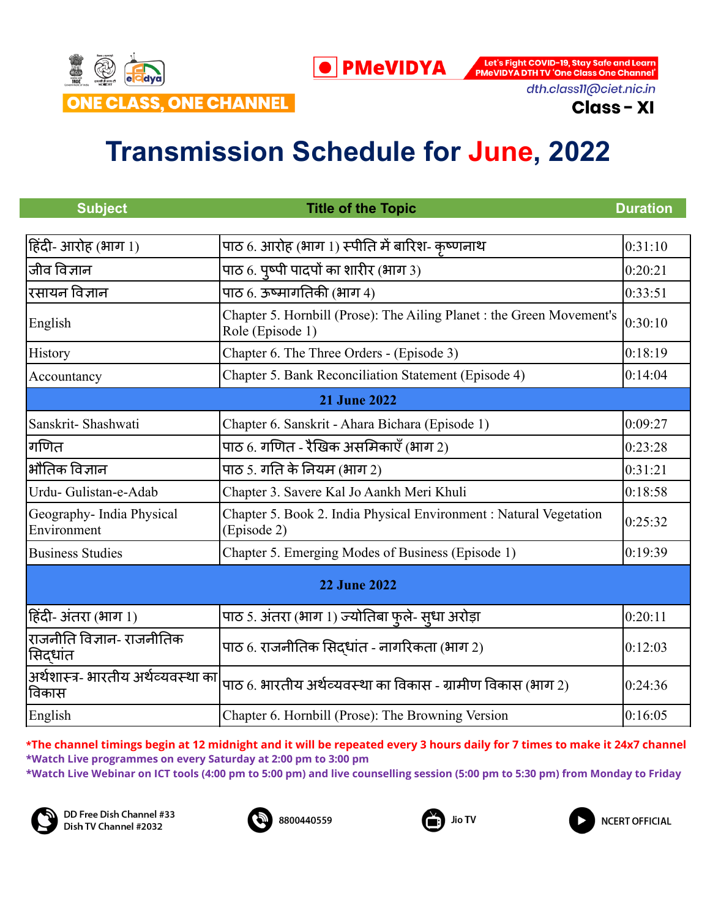

dth.class11@ciet.nic.in

**Class - XI** 

## **Transmission Schedule for June, 2022**

| <b>Subject</b>                               | <b>Title of the Topic</b>                                                                 | <b>Duration</b> |
|----------------------------------------------|-------------------------------------------------------------------------------------------|-----------------|
|                                              |                                                                                           |                 |
| हिंदी- आरोह (भाग 1)                          | पाठ 6. आरोह (भाग 1) स्पीति में बारिश- कृष्णनाथ                                            | 0:31:10         |
| जीव विज्ञान                                  | पाठ 6. पृष्पी पादपों का शारीर (भाग 3)                                                     | 0:20:21         |
| रसायन विज्ञान                                | पाठ 6. ऊष्मागतिकी (भाग 4)                                                                 | 0:33:51         |
| English                                      | Chapter 5. Hornbill (Prose): The Ailing Planet : the Green Movement's<br>Role (Episode 1) | 0:30:10         |
| History                                      | Chapter 6. The Three Orders - (Episode 3)                                                 | 0:18:19         |
| Accountancy                                  | Chapter 5. Bank Reconciliation Statement (Episode 4)                                      | 0:14:04         |
|                                              | <b>21 June 2022</b>                                                                       |                 |
| Sanskrit-Shashwati                           | Chapter 6. Sanskrit - Ahara Bichara (Episode 1)                                           | 0:09:27         |
| गणित                                         | पाठ 6. गणित - रैखिक असमिकाएँ (भाग 2)                                                      | 0:23:28         |
| भौतिक विज्ञान                                | पाठ 5. गति के नियम (भाग 2)                                                                | 0:31:21         |
| Urdu-Gulistan-e-Adab                         | Chapter 3. Savere Kal Jo Aankh Meri Khuli                                                 | 0:18:58         |
| Geography- India Physical<br>Environment     | Chapter 5. Book 2. India Physical Environment : Natural Vegetation<br>(Episode 2)         | 0:25:32         |
| <b>Business Studies</b>                      | Chapter 5. Emerging Modes of Business (Episode 1)                                         | 0:19:39         |
| <b>22 June 2022</b>                          |                                                                                           |                 |
| हिंदी- अंतरा (भाग 1)                         | पाठ 5. अंतरा (भाग 1) ज्योतिबा फुले- सुधा अरोड़ा                                           | 0:20:11         |
| राजनीति विज्ञान- राजनीतिक<br>सिद्धांत        | पाठ 6. राजनीतिक सिदधांत - नागरिकता (भाग 2)                                                | 0:12:03         |
| अर्थशास्त्र- भारतीय अर्थव्यवस्था का<br>विकास | पाठ 6. भारतीय अर्थव्यवस्था का विकास - ग्रामीण विकास (भाग 2)                               | 0:24:36         |
| English                                      | Chapter 6. Hornbill (Prose): The Browning Version                                         | 0:16:05         |

\*The channel timings begin at 12 midnight and it will be repeated every 3 hours daily for 7 times to make it 24x7 channel **\*Watch Live programmes on every Saturday at 2:00 pm to 3:00 pm**

**\*Watch Live Webinar on ICT tools (4:00 pm to 5:00 pm) and live counselling session (5:00 pm to 5:30 pm) from Monday to Friday**



DD Free Dish Channel #33 Dish TV Channel #2032





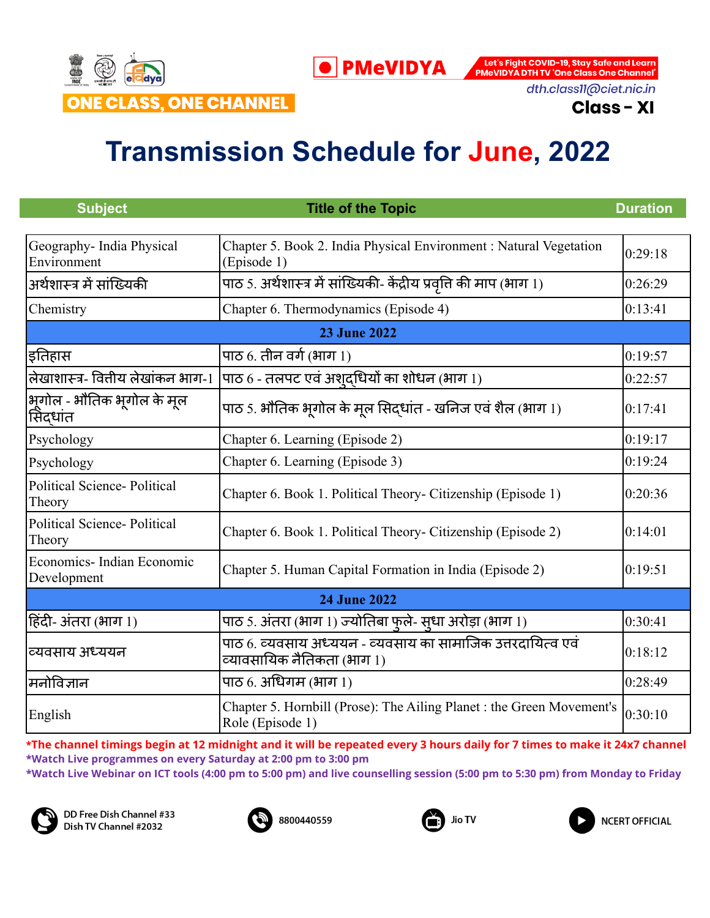

dth.class11@ciet.nic.in

**Class - XI** 

# **Transmission Schedule for June, 2022**

| <b>Subject</b>                                    | <b>Title of the Topic</b>                                                                 | <b>Duration</b> |
|---------------------------------------------------|-------------------------------------------------------------------------------------------|-----------------|
|                                                   |                                                                                           |                 |
| Geography- India Physical<br>Environment          | Chapter 5. Book 2. India Physical Environment : Natural Vegetation<br>(Episode 1)         | 0:29:18         |
| अर्थशास्त्र में सांख्यिकी                         | पाठ 5. अर्थशास्त्र में सांख्यिकी- केंद्रीय प्रवृत्ति की माप (भाग 1)                       | 0:26:29         |
| Chemistry                                         | Chapter 6. Thermodynamics (Episode 4)                                                     | 0:13:41         |
|                                                   | <b>23 June 2022</b>                                                                       |                 |
| इतिहास                                            | पाठ $6.$ तीन वर्ग (भाग 1)                                                                 | 0:19:57         |
| लेखाशास्त्र- वितीय लेखांकन भाग-1                  | $ $ पाठ 6 - तलपट एवं अश् $\bar{\mathbf{c}}$ धियों का शोधन (भाग 1)                         | 0:22:57         |
| भूगोल - भौतिक भूगोल के मूल<br>सिंदधांत            | पाठ 5. भौतिक भूगोल के मूल सिद्धांत - खनिज एवं शैल (भाग 1)                                 | 0:17:41         |
| Psychology                                        | Chapter 6. Learning (Episode 2)                                                           | 0:19:17         |
| Psychology                                        | Chapter 6. Learning (Episode 3)                                                           | 0:19:24         |
| <b>Political Science-Political</b><br>Theory      | Chapter 6. Book 1. Political Theory- Citizenship (Episode 1)                              | 0:20:36         |
| <b>Political Science-Political</b><br>Theory      | Chapter 6. Book 1. Political Theory- Citizenship (Episode 2)                              | 0:14:01         |
| Economics-Indian Economic<br>Development          | Chapter 5. Human Capital Formation in India (Episode 2)                                   | 0:19:51         |
| <b>24 June 2022</b>                               |                                                                                           |                 |
| $ \mathsf{R}\bar{\mathsf{G}}$ दिदी- अंतरा (भाग 1) | पाठ 5. अंतरा (भाग 1) ज्योतिबा फुले- सुधा अरोड़ा (भाग 1)                                   | 0:30:41         |
| व्यवसाय अध्ययन                                    | पाठ 6. व्यवसाय अध्ययन - व्यवसाय का सामाजिक उत्तरदायित्व एवं<br>व्यावसायिक नैतिकता (भाग 1) | 0:18:12         |
| मनोविज्ञान                                        | पाठ $6.$ अधिगम (भाग $1)$                                                                  | 0:28:49         |
| English                                           | Chapter 5. Hornbill (Prose): The Ailing Planet : the Green Movement's<br>Role (Episode 1) | 0:30:10         |

\*The channel timings begin at 12 midnight and it will be repeated every 3 hours daily for 7 times to make it 24x7 channel **\*Watch Live programmes on every Saturday at 2:00 pm to 3:00 pm**

**\*Watch Live Webinar on ICT tools (4:00 pm to 5:00 pm) and live counselling session (5:00 pm to 5:30 pm) from Monday to Friday**



DD Free Dish Channel #33 Dish TV Channel #2032





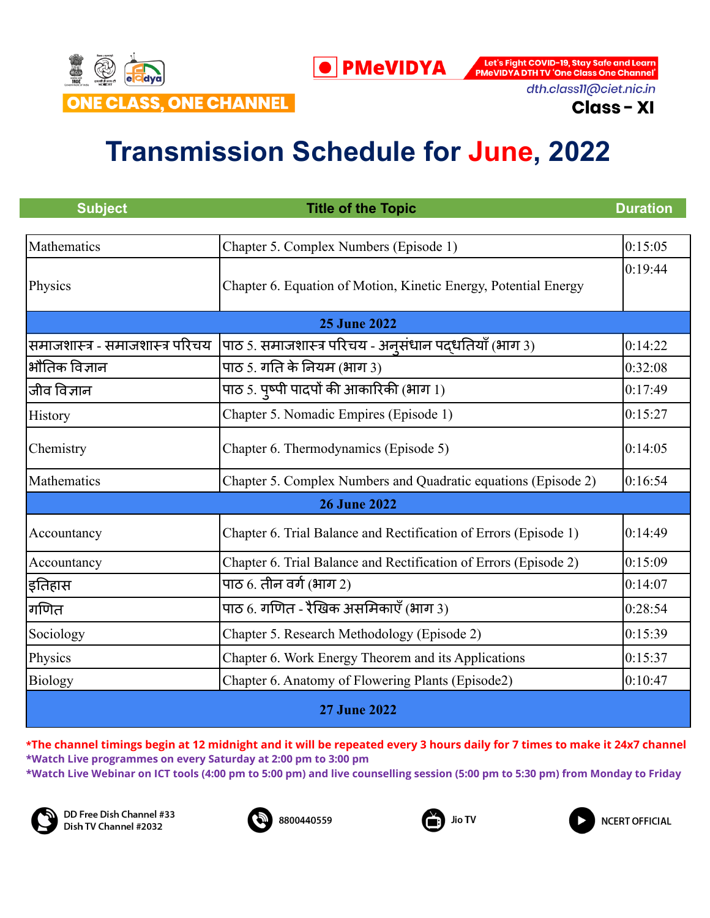

dth.class11@ciet.nic.in

**Class - XI** 

# **Transmission Schedule for June, 2022**

| <b>Subject</b>                  | <b>Title of the Topic</b>                                        | <b>Duration</b> |
|---------------------------------|------------------------------------------------------------------|-----------------|
| Mathematics                     | Chapter 5. Complex Numbers (Episode 1)                           | 0:15:05         |
| Physics                         | Chapter 6. Equation of Motion, Kinetic Energy, Potential Energy  | 0:19:44         |
|                                 | <b>25 June 2022</b>                                              |                 |
| समाजशास्त्र - समाजशास्त्र परिचय | पाठ 5. समाजशास्त्र परिचय - अन् संधान पद्धतियाँ (भाग 3)           | 0:14:22         |
| भौतिक विज्ञान                   | पाठ 5. गति के नियम (भाग 3)                                       | 0:32:08         |
| जीव विज्ञान                     | पाठ 5. पुष्पी पादपों की आकारिकी (भाग $1$ )                       | 0:17:49         |
| History                         | Chapter 5. Nomadic Empires (Episode 1)                           | 0:15:27         |
| Chemistry                       | Chapter 6. Thermodynamics (Episode 5)                            | 0:14:05         |
| Mathematics                     | Chapter 5. Complex Numbers and Quadratic equations (Episode 2)   | 0:16:54         |
|                                 | <b>26 June 2022</b>                                              |                 |
| Accountancy                     | Chapter 6. Trial Balance and Rectification of Errors (Episode 1) | 0:14:49         |
| Accountancy                     | Chapter 6. Trial Balance and Rectification of Errors (Episode 2) | 0:15:09         |
| इतिहास                          | पाठ $6.$ तीन वर्ग (भाग 2)                                        | 0:14:07         |
| गणित                            | पाठ 6. गणित - रैखिक असमिकाएँ (भाग 3)                             | 0:28:54         |
| Sociology                       | Chapter 5. Research Methodology (Episode 2)                      | 0:15:39         |
| Physics                         | Chapter 6. Work Energy Theorem and its Applications              | 0:15:37         |
| <b>Biology</b>                  | Chapter 6. Anatomy of Flowering Plants (Episode2)                | 0:10:47         |
| <b>27 June 2022</b>             |                                                                  |                 |

\*The channel timings begin at 12 midnight and it will be repeated every 3 hours daily for 7 times to make it 24x7 channel **\*Watch Live programmes on every Saturday at 2:00 pm to 3:00 pm \*Watch Live Webinar on ICT tools (4:00 pm to 5:00 pm) and live counselling session (5:00 pm to 5:30 pm) from Monday to Friday**



DD Free Dish Channel #33 Dish TV Channel #2032





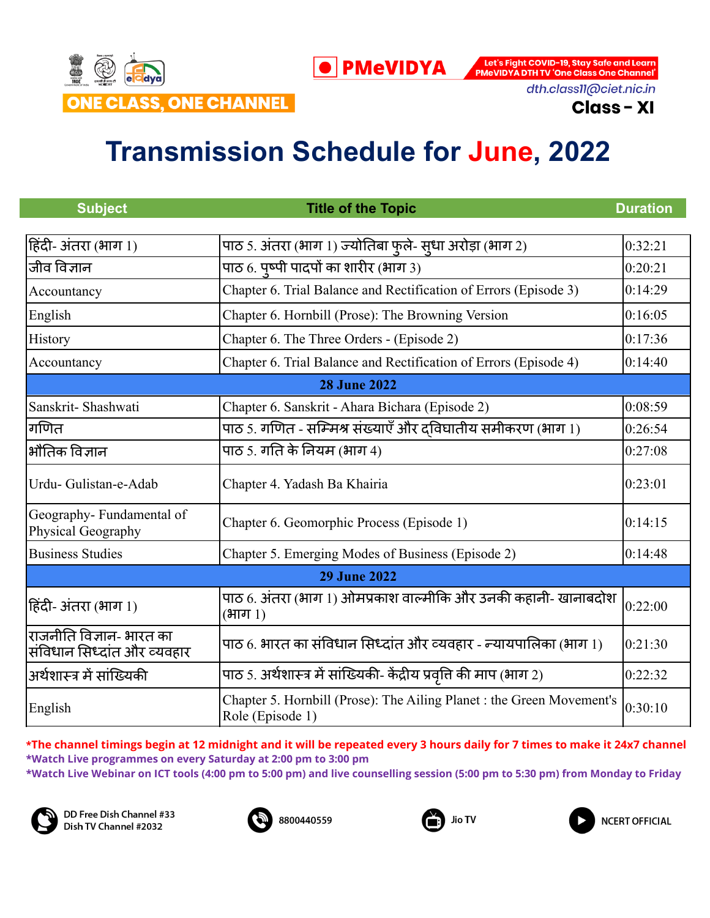

dth.class11@ciet.nic.in

**Class - XI** 

## **Transmission Schedule for June, 2022**

| <b>Subject</b>                                          | <b>Title of the Topic</b>                                                                 | <b>Duration</b> |  |  |
|---------------------------------------------------------|-------------------------------------------------------------------------------------------|-----------------|--|--|
|                                                         |                                                                                           |                 |  |  |
| हिंदी- अंतरा (भाग 1)                                    | पाठ 5. अंतरा (भाग 1) ज्योतिबा फुले- सुधा अरोड़ा (भाग 2)                                   | 0:32:21         |  |  |
| जीव विज्ञान                                             | पाठ 6. पृष्पी पादपों का शारीर (भाग 3)                                                     | 0:20:21         |  |  |
| Accountancy                                             | Chapter 6. Trial Balance and Rectification of Errors (Episode 3)                          | 0:14:29         |  |  |
| English                                                 | Chapter 6. Hornbill (Prose): The Browning Version                                         | 0:16:05         |  |  |
| History                                                 | Chapter 6. The Three Orders - (Episode 2)                                                 | 0:17:36         |  |  |
| Accountancy                                             | Chapter 6. Trial Balance and Rectification of Errors (Episode 4)                          | 0:14:40         |  |  |
|                                                         | <b>28 June 2022</b>                                                                       |                 |  |  |
| Sanskrit-Shashwati                                      | Chapter 6. Sanskrit - Ahara Bichara (Episode 2)                                           | 0:08:59         |  |  |
| गणित                                                    | पाठ 5. गणित - सम्मिश्र संख्याएँ और दविघातीय समीकरण (भाग 1)                                | 0:26:54         |  |  |
| भौतिक विज्ञान                                           | पाठ 5. गति के नियम (भाग 4)                                                                | 0:27:08         |  |  |
| Urdu- Gulistan-e-Adab                                   | Chapter 4. Yadash Ba Khairia                                                              | 0:23:01         |  |  |
| Geography-Fundamental of<br>Physical Geography          | Chapter 6. Geomorphic Process (Episode 1)                                                 | 0:14:15         |  |  |
| <b>Business Studies</b>                                 | Chapter 5. Emerging Modes of Business (Episode 2)                                         | 0:14:48         |  |  |
|                                                         | <b>29 June 2022</b>                                                                       |                 |  |  |
| हिंदी- अंतरा (भाग 1)                                    | पाठ 6. अंतरा (भाग 1) ओमप्रकाश वाल्मीकि और उनकी कहानी- खानाबदोश<br>(भाग 1)                 | 0:22:00         |  |  |
| राजनीति विज्ञान- भारत का<br>संविधान सिध्दांत और व्यवहार | पाठ 6. भारत का संविधान सिध्दांत और व्यवहार - न्यायपालिका (भाग 1)                          | 0:21:30         |  |  |
| अर्थशास्त्र में सांख्यिकी                               | पाठ 5. अर्थशास्त्र में सांख्यिकी- केंद्रीय प्रवृत्ति की माप (भाग 2)                       | 0:22:32         |  |  |
| English                                                 | Chapter 5. Hornbill (Prose): The Ailing Planet : the Green Movement's<br>Role (Episode 1) | 0:30:10         |  |  |

\*The channel timings begin at 12 midnight and it will be repeated every 3 hours daily for 7 times to make it 24x7 channel **\*Watch Live programmes on every Saturday at 2:00 pm to 3:00 pm \*Watch Live Webinar on ICT tools (4:00 pm to 5:00 pm) and live counselling session (5:00 pm to 5:30 pm) from Monday to Friday**